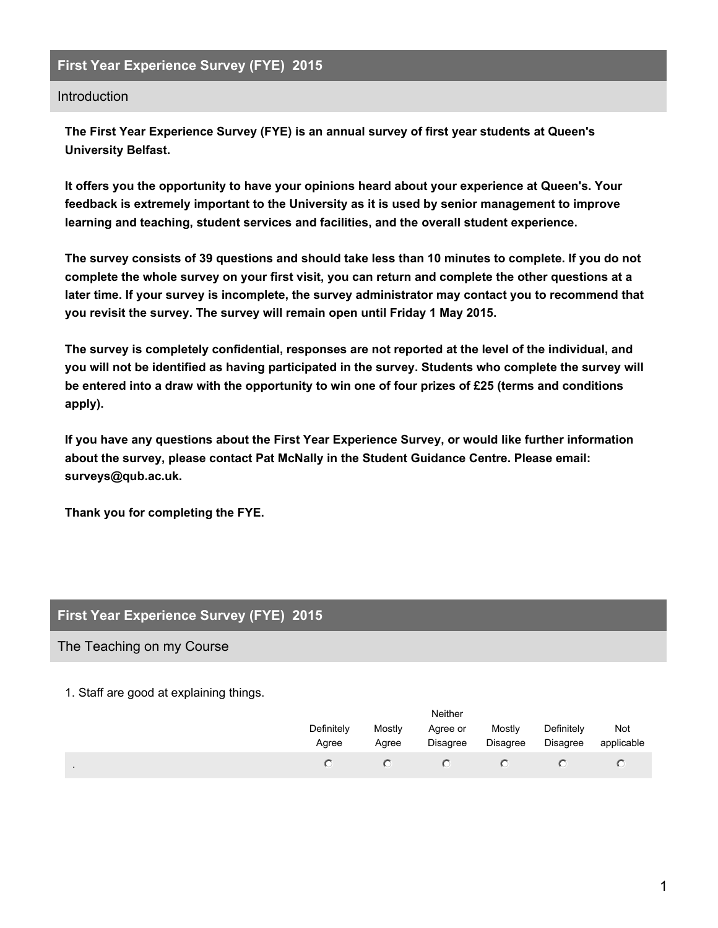## **First Year Experience Survey (FYE) 2015**

### **Introduction**

**The First Year Experience Survey (FYE) is an annual survey of first year students at Queen's University Belfast.**

**It offers you the opportunity to have your opinions heard about your experience at Queen's. Your feedback is extremely important to the University as it is used by senior management to improve learning and teaching, student services and facilities, and the overall student experience.**

The survey consists of 39 questions and should take less than 10 minutes to complete. If you do not complete the whole survey on your first visit, you can return and complete the other questions at a **later time. If your survey is incomplete, the survey administrator may contact you to recommend that you revisit the survey. The survey will remain open until Friday 1 May 2015.**

**The survey is completely confidential, responses are not reported at the level of the individual, and you will not be identified as having participated in the survey. Students who complete the survey will** be entered into a draw with the opportunity to win one of four prizes of £25 (terms and conditions **apply).**

**If you have any questions about the First Year Experience Survey, or would like further information about the survey, please contact Pat McNally in the Student Guidance Centre. Please email: surveys@qub.ac.uk.**

**Thank you for completing the FYE.**

### **First Year Experience Survey (FYE) 2015**

#### The Teaching on my Course

#### 1. Staff are good at explaining things.

| Neither             |                 |                      |                    |                               |                   |  |
|---------------------|-----------------|----------------------|--------------------|-------------------------------|-------------------|--|
| Definitely<br>Agree | Mostly<br>Agree | Agree or<br>Disagree | Mostly<br>Disagree | Definitely<br><b>Disagree</b> | Not<br>applicable |  |
|                     |                 |                      |                    |                               |                   |  |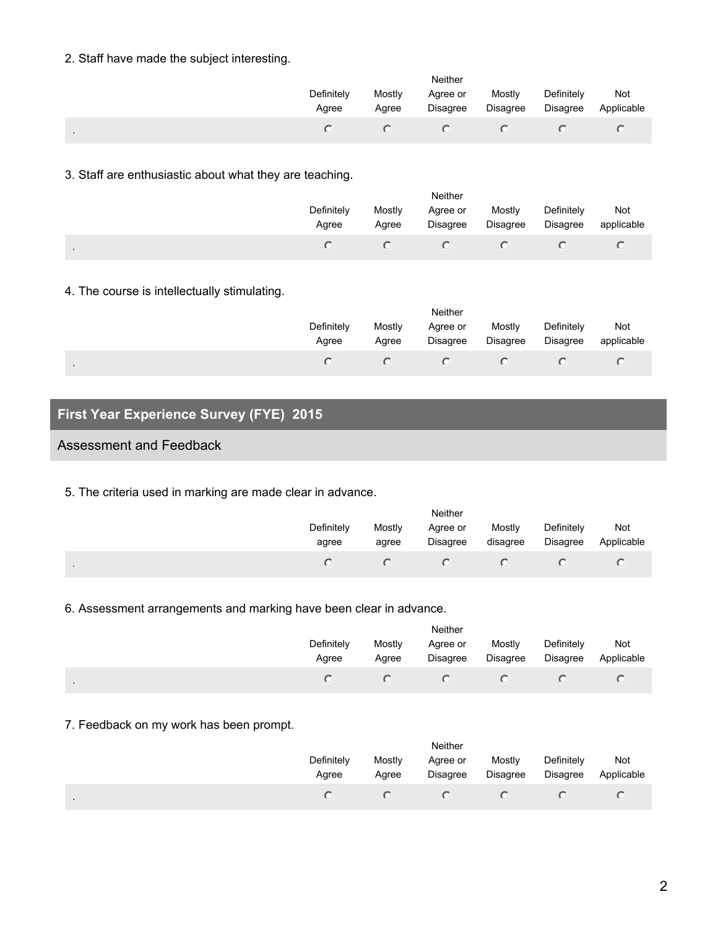### 2. Staff have made the subject interesting.

|              | Neither             |                 |                      |                    |                               |                   |  |  |
|--------------|---------------------|-----------------|----------------------|--------------------|-------------------------------|-------------------|--|--|
|              | Definitely<br>Agree | Mostly<br>Agree | Agree or<br>Disagree | Mostly<br>Disagree | Definitely<br><b>Disagree</b> | Not<br>Applicable |  |  |
| $\mathbf{r}$ |                     |                 |                      |                    |                               |                   |  |  |

### 3. Staff are enthusiastic about what they are teaching.

|                | <b>Neither</b>      |                 |                      |                    |                               |                   |  |  |
|----------------|---------------------|-----------------|----------------------|--------------------|-------------------------------|-------------------|--|--|
|                | Definitely<br>Agree | Mostly<br>Agree | Agree or<br>Disagree | Mostly<br>Disagree | Definitely<br><b>Disagree</b> | Not<br>applicable |  |  |
| $\blacksquare$ |                     |                 |                      |                    |                               |                   |  |  |

## 4. The course is intellectually stimulating.

| Neither             |                 |                      |                           |                        |                   |  |  |
|---------------------|-----------------|----------------------|---------------------------|------------------------|-------------------|--|--|
| Definitely<br>Agree | Mostly<br>Agree | Agree or<br>Disagree | Mostly<br><b>Disagree</b> | Definitely<br>Disagree | Not<br>applicable |  |  |
|                     |                 |                      |                           |                        |                   |  |  |

# **First Year Experience Survey (FYE) 2015**

## Assessment and Feedback

.

5. The criteria used in marking are made clear in advance.

|                | Neither             |                 |                      |                    |                               |                   |  |  |
|----------------|---------------------|-----------------|----------------------|--------------------|-------------------------------|-------------------|--|--|
|                | Definitely<br>agree | Mostly<br>agree | Agree or<br>Disagree | Mostly<br>disagree | Definitely<br><b>Disagree</b> | Not<br>Applicable |  |  |
| $\blacksquare$ |                     |                 |                      |                    |                               |                   |  |  |

## 6. Assessment arrangements and marking have been clear in advance.

|                | Neither             |                 |                      |                           |                        |                   |  |
|----------------|---------------------|-----------------|----------------------|---------------------------|------------------------|-------------------|--|
|                | Definitely<br>Agree | Mostly<br>Agree | Agree or<br>Disagree | Mostly<br><b>Disagree</b> | Definitely<br>Disagree | Not<br>Applicable |  |
| $\blacksquare$ |                     |                 |                      |                           |                        |                   |  |

## 7. Feedback on my work has been prompt.

|                | Neither             |                 |                      |                    |                               |                   |  |
|----------------|---------------------|-----------------|----------------------|--------------------|-------------------------------|-------------------|--|
|                | Definitely<br>Agree | Mostly<br>Agree | Agree or<br>Disagree | Mostly<br>Disagree | Definitely<br><b>Disagree</b> | Not<br>Applicable |  |
| $\blacksquare$ |                     |                 |                      |                    |                               |                   |  |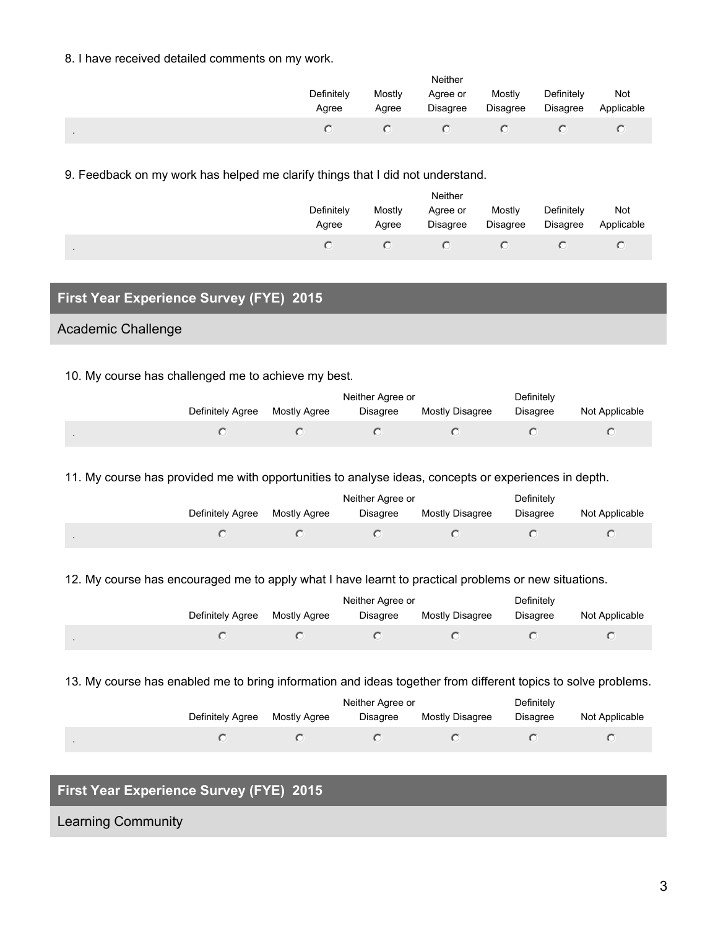### 8. I have received detailed comments on my work.

|                | Neither             |                 |                             |                           |                               |                   |  |
|----------------|---------------------|-----------------|-----------------------------|---------------------------|-------------------------------|-------------------|--|
|                | Definitely<br>Agree | Mostly<br>Agree | Agree or<br><b>Disagree</b> | Mostly<br><b>Disagree</b> | Definitely<br><b>Disagree</b> | Not<br>Applicable |  |
| $\blacksquare$ |                     |                 |                             |                           |                               |                   |  |

9. Feedback on my work has helped me clarify things that I did not understand.

| Neither             |                 |                      |                    |                               |                          |  |  |  |
|---------------------|-----------------|----------------------|--------------------|-------------------------------|--------------------------|--|--|--|
| Definitely<br>Agree | Mostly<br>Agree | Agree or<br>Disagree | Mostly<br>Disagree | Definitely<br><b>Disagree</b> | <b>Not</b><br>Applicable |  |  |  |
|                     |                 |                      |                    |                               |                          |  |  |  |

# **First Year Experience Survey (FYE) 2015**

### Academic Challenge

.

#### 10. My course has challenged me to achieve my best.

|                  |              | Neither Agree or | Definitely             |          |                |
|------------------|--------------|------------------|------------------------|----------|----------------|
| Definitely Agree | Mostly Agree | <b>Disagree</b>  | <b>Mostly Disagree</b> | Disagree | Not Applicable |
|                  |              |                  |                        |          |                |

11. My course has provided me with opportunities to analyse ideas, concepts or experiences in depth.

|                |                  |              | Neither Agree or | Definitely      |                 |                |
|----------------|------------------|--------------|------------------|-----------------|-----------------|----------------|
|                | Definitely Agree | Mostly Agree | <b>Disagree</b>  | Mostly Disagree | <b>Disagree</b> | Not Applicable |
| $\blacksquare$ |                  |              |                  |                 |                 |                |

12. My course has encouraged me to apply what I have learnt to practical problems or new situations.

|                  |              | Neither Agree or | Definitely      |          |                |
|------------------|--------------|------------------|-----------------|----------|----------------|
| Definitely Agree | Mostly Agree | Disagree         | Mostly Disagree | Disagree | Not Applicable |
|                  |              |                  |                 |          |                |

13. My course has enabled me to bring information and ideas together from different topics to solve problems.

|                  |              | Neither Agree or | Definitely      |          |                |
|------------------|--------------|------------------|-----------------|----------|----------------|
| Definitely Agree | Mostly Agree | <b>Disagree</b>  | Mostly Disagree | Disagree | Not Applicable |
|                  |              |                  |                 |          |                |

# **First Year Experience Survey (FYE) 2015**

Learning Community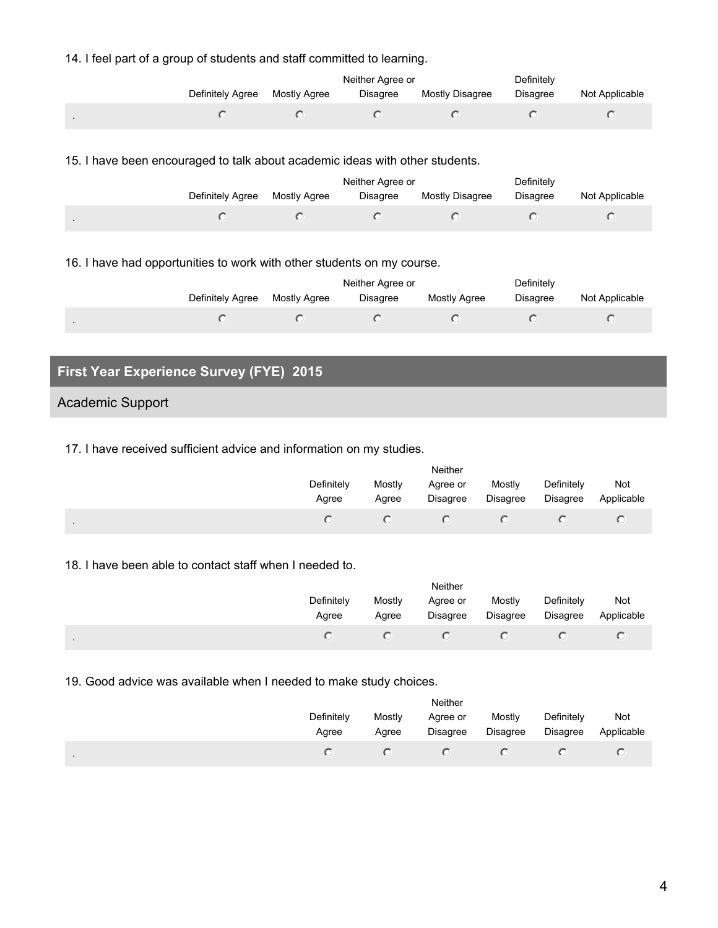### 14. I feel part of a group of students and staff committed to learning.

|              |                  |              | Neither Agree or | Definitely      |                 |                |
|--------------|------------------|--------------|------------------|-----------------|-----------------|----------------|
|              | Definitely Agree | Mostly Agree | <b>Disagree</b>  | Mostly Disagree | <b>Disagree</b> | Not Applicable |
| $\mathbf{r}$ |                  |              |                  |                 |                 |                |

#### 15. I have been encouraged to talk about academic ideas with other students.

|                  |              | Neither Agree or | Definitely      |          |                |
|------------------|--------------|------------------|-----------------|----------|----------------|
| Definitely Agree | Mostly Agree | <b>Disagree</b>  | Mostly Disagree | Disagree | Not Applicable |
|                  |              |                  |                 |          |                |

### 16. I have had opportunities to work with other students on my course.

|                  |              | Neither Agree or | Definitely   |                 |                |  |
|------------------|--------------|------------------|--------------|-----------------|----------------|--|
| Definitely Agree | Mostly Agree | Disagree         | Mostly Agree | <b>Disagree</b> | Not Applicable |  |
|                  |              |                  |              |                 |                |  |

# **First Year Experience Survey (FYE) 2015**

### Academic Support

#### 17. I have received sufficient advice and information on my studies.

|           | Neither             |                 |                             |                           |                               |                   |  |  |
|-----------|---------------------|-----------------|-----------------------------|---------------------------|-------------------------------|-------------------|--|--|
|           | Definitely<br>Agree | Mostly<br>Agree | Agree or<br><b>Disagree</b> | Mostly<br><b>Disagree</b> | Definitely<br><b>Disagree</b> | Not<br>Applicable |  |  |
| $\bullet$ |                     |                 |                             |                           |                               |                   |  |  |

#### 18. I have been able to contact staff when I needed to.

|                | Neither             |                 |                      |                    |                               |                   |  |  |
|----------------|---------------------|-----------------|----------------------|--------------------|-------------------------------|-------------------|--|--|
|                | Definitely<br>Agree | Mostly<br>Agree | Agree or<br>Disagree | Mostly<br>Disagree | Definitely<br><b>Disagree</b> | Not<br>Applicable |  |  |
| $\blacksquare$ |                     |                 |                      |                    |                               |                   |  |  |

### 19. Good advice was available when I needed to make study choices.

|                | Neither             |                 |                      |                    |                        |                          |  |  |
|----------------|---------------------|-----------------|----------------------|--------------------|------------------------|--------------------------|--|--|
|                | Definitely<br>Agree | Mostly<br>Agree | Agree or<br>Disagree | Mostly<br>Disagree | Definitely<br>Disagree | <b>Not</b><br>Applicable |  |  |
| $\blacksquare$ |                     |                 |                      |                    |                        |                          |  |  |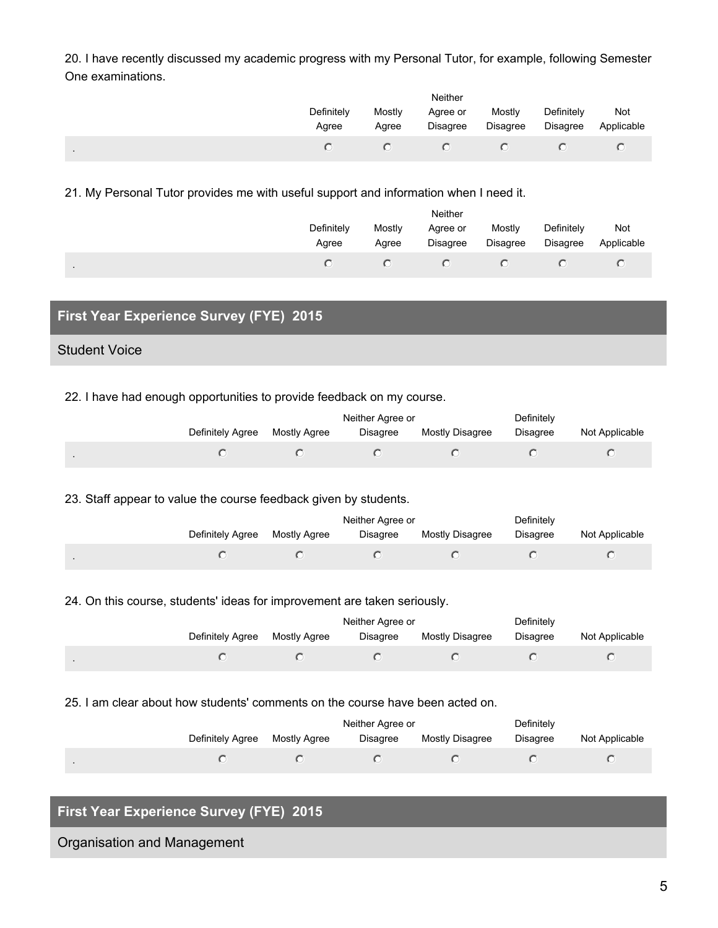20. I have recently discussed my academic progress with my Personal Tutor, for example, following Semester One examinations.

|        | Neither             |                 |                             |                           |                               |                   |  |  |
|--------|---------------------|-----------------|-----------------------------|---------------------------|-------------------------------|-------------------|--|--|
|        | Definitely<br>Agree | Mostly<br>Agree | Agree or<br><b>Disagree</b> | Mostly<br><b>Disagree</b> | Definitely<br><b>Disagree</b> | Not<br>Applicable |  |  |
| $\sim$ |                     |                 |                             |                           |                               |                   |  |  |

21. My Personal Tutor provides me with useful support and information when I need it.

|         | Neither             |                 |                      |                           |                               |                   |  |  |
|---------|---------------------|-----------------|----------------------|---------------------------|-------------------------------|-------------------|--|--|
|         | Definitely<br>Agree | Mostly<br>Agree | Agree or<br>Disagree | Mostly<br><b>Disagree</b> | Definitely<br><b>Disagree</b> | Not<br>Applicable |  |  |
| $\cdot$ |                     |                 |                      |                           |                               |                   |  |  |

# **First Year Experience Survey (FYE) 2015**

### Student Voice

22. I have had enough opportunities to provide feedback on my course.

|                  |              | Neither Agree or | Definitely      |                 |                |
|------------------|--------------|------------------|-----------------|-----------------|----------------|
| Definitely Agree | Mostly Agree | Disagree         | Mostly Disagree | <b>Disagree</b> | Not Applicable |
|                  |              |                  |                 |                 |                |

23. Staff appear to value the course feedback given by students.

|                  |              | Neither Agree or | Definitely      |                 |                |
|------------------|--------------|------------------|-----------------|-----------------|----------------|
| Definitely Agree | Mostly Agree | Disagree         | Mostly Disagree | <b>Disagree</b> | Not Applicable |
|                  |              |                  |                 |                 |                |

24. On this course, students' ideas for improvement are taken seriously.

|                  |              | Neither Agree or | Definitely      |                 |                |
|------------------|--------------|------------------|-----------------|-----------------|----------------|
| Definitely Agree | Mostly Agree | <b>Disagree</b>  | Mostly Disagree | <b>Disagree</b> | Not Applicable |
|                  |              |                  |                 |                 |                |

25. I am clear about how students' comments on the course have been acted on.

|                  |              | Neither Agree or | Definitely      |          |                |
|------------------|--------------|------------------|-----------------|----------|----------------|
| Definitely Agree | Mostly Agree | <b>Disagree</b>  | Mostly Disagree | Disagree | Not Applicable |
|                  |              |                  |                 |          |                |

# **First Year Experience Survey (FYE) 2015**

Organisation and Management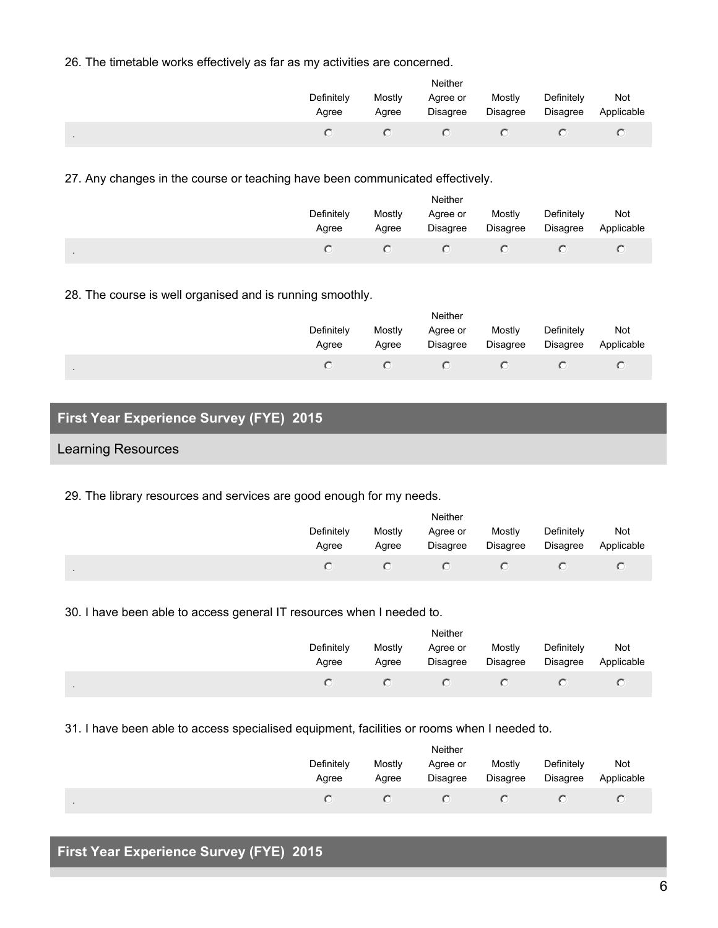26. The timetable works effectively as far as my activities are concerned.

|                | Neither             |                 |                      |                    |                        |                   |  |  |
|----------------|---------------------|-----------------|----------------------|--------------------|------------------------|-------------------|--|--|
|                | Definitely<br>Agree | Mostly<br>Agree | Agree or<br>Disagree | Mostly<br>Disagree | Definitely<br>Disagree | Not<br>Applicable |  |  |
| $\blacksquare$ |                     |                 |                      |                    |                        |                   |  |  |

27. Any changes in the course or teaching have been communicated effectively.

|           | Neither             |                 |                             |                    |                               |                   |  |  |
|-----------|---------------------|-----------------|-----------------------------|--------------------|-------------------------------|-------------------|--|--|
|           | Definitely<br>Agree | Mostly<br>Agree | Agree or<br><b>Disagree</b> | Mostly<br>Disagree | Definitely<br><b>Disagree</b> | Not<br>Applicable |  |  |
| $\bullet$ |                     |                 |                             |                    |                               |                   |  |  |

28. The course is well organised and is running smoothly.

| Neither             |                 |                      |                    |                        |                   |  |  |
|---------------------|-----------------|----------------------|--------------------|------------------------|-------------------|--|--|
| Definitely<br>Agree | Mostly<br>Agree | Agree or<br>Disagree | Mostly<br>Disagree | Definitely<br>Disagree | Not<br>Applicable |  |  |
|                     |                 |                      |                    |                        |                   |  |  |

# **First Year Experience Survey (FYE) 2015**

### Learning Resources

29. The library resources and services are good enough for my needs.

|         | Neither             |                 |                      |                           |                               |                   |  |  |
|---------|---------------------|-----------------|----------------------|---------------------------|-------------------------------|-------------------|--|--|
|         | Definitely<br>Agree | Mostly<br>Agree | Agree or<br>Disagree | Mostly<br><b>Disagree</b> | Definitely<br><b>Disagree</b> | Not<br>Applicable |  |  |
| $\cdot$ |                     |                 |                      |                           |                               |                   |  |  |

30. I have been able to access general IT resources when I needed to.

|                | Neither             |                 |                      |                    |                               |                   |  |  |
|----------------|---------------------|-----------------|----------------------|--------------------|-------------------------------|-------------------|--|--|
|                | Definitely<br>Agree | Mostly<br>Agree | Agree or<br>Disagree | Mostly<br>Disagree | Definitely<br><b>Disagree</b> | Not<br>Applicable |  |  |
| $\blacksquare$ |                     |                 |                      |                    |                               |                   |  |  |

31. I have been able to access specialised equipment, facilities or rooms when I needed to.

|         | <b>Neither</b>      |                 |                      |                    |                               |                   |  |  |
|---------|---------------------|-----------------|----------------------|--------------------|-------------------------------|-------------------|--|--|
|         | Definitely<br>Agree | Mostly<br>Agree | Agree or<br>Disagree | Mostly<br>Disagree | Definitely<br><b>Disagree</b> | Not<br>Applicable |  |  |
| $\cdot$ |                     |                 |                      |                    |                               |                   |  |  |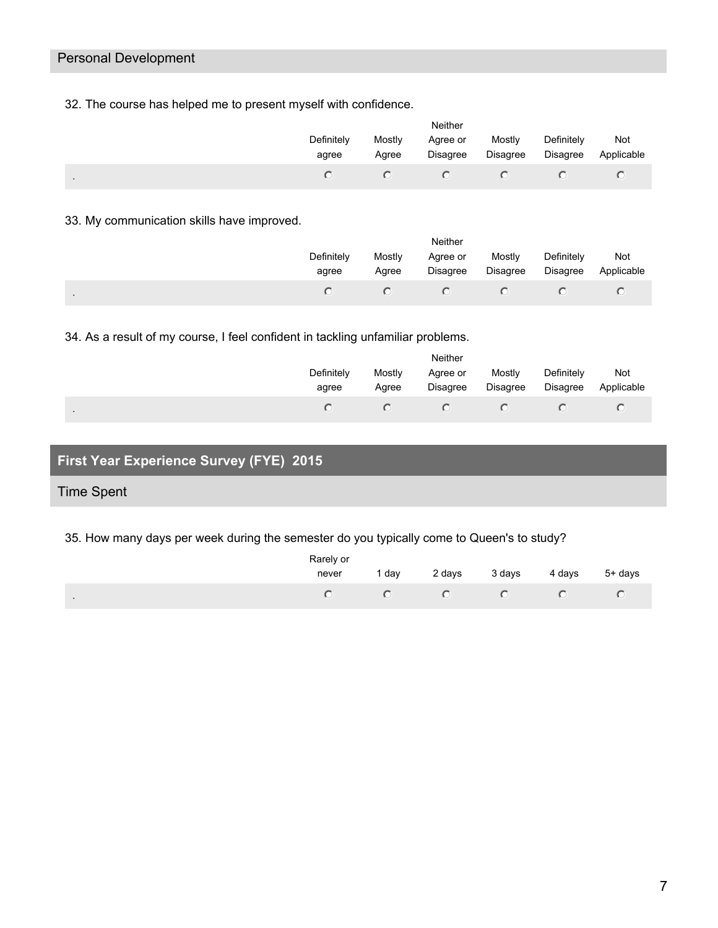# Personal Development

32. The course has helped me to present myself with confidence.

|                | Neither             |                 |                      |                    |                               |                   |  |  |
|----------------|---------------------|-----------------|----------------------|--------------------|-------------------------------|-------------------|--|--|
|                | Definitely<br>agree | Mostly<br>Agree | Agree or<br>Disagree | Mostly<br>Disagree | Definitely<br><b>Disagree</b> | Not<br>Applicable |  |  |
| $\blacksquare$ |                     |                 |                      |                    |                               |                   |  |  |

33. My communication skills have improved.

|           | Neither             |                 |                      |                    |                               |                   |  |  |
|-----------|---------------------|-----------------|----------------------|--------------------|-------------------------------|-------------------|--|--|
|           | Definitely<br>agree | Mostly<br>Agree | Agree or<br>Disagree | Mostly<br>Disagree | Definitely<br><b>Disagree</b> | Not<br>Applicable |  |  |
| $\bullet$ |                     |                 |                      |                    |                               |                   |  |  |

34. As a result of my course, I feel confident in tackling unfamiliar problems.

|                | <b>Neither</b>      |                 |                      |                    |                        |                   |  |  |
|----------------|---------------------|-----------------|----------------------|--------------------|------------------------|-------------------|--|--|
|                | Definitely<br>agree | Mostly<br>Agree | Agree or<br>Disagree | Mostly<br>Disagree | Definitely<br>Disagree | Not<br>Applicable |  |  |
| $\blacksquare$ |                     |                 |                      |                    |                        |                   |  |  |

# **First Year Experience Survey (FYE) 2015**

# Time Spent

35. How many days per week during the semester do you typically come to Queen's to study?

|              | Rarely or |     |        |        |                |
|--------------|-----------|-----|--------|--------|----------------|
|              | never     | dav | 2 days | 3 days | 4 days 5+ days |
| $\mathbf{r}$ |           |     |        |        |                |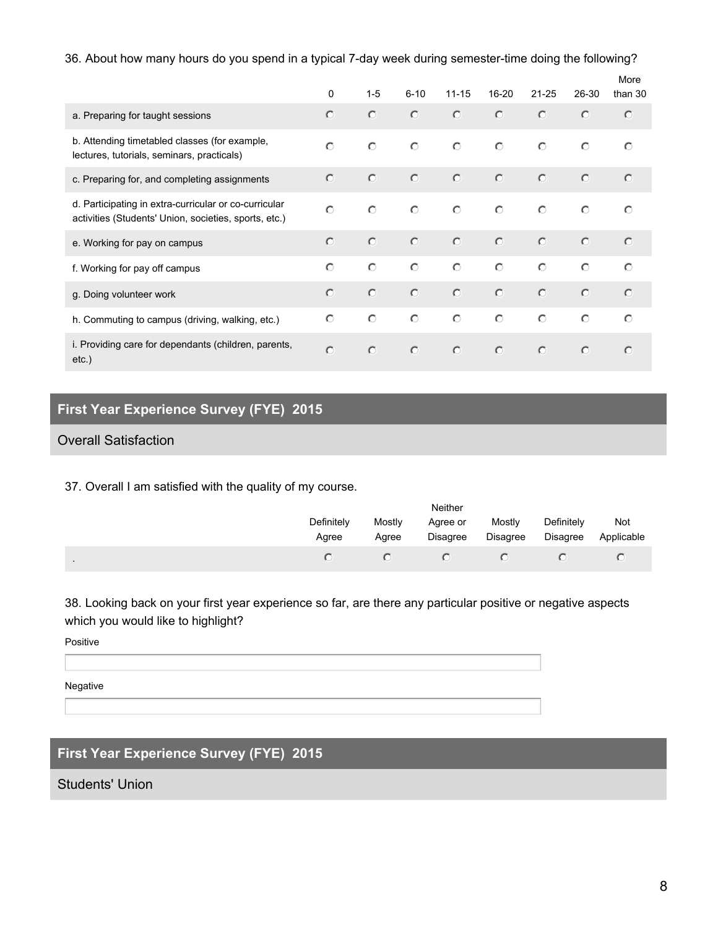### 36. About how many hours do you spend in a typical 7-day week during semester-time doing the following?

|                                                                                                                | $\mathbf{0}$ | $1 - 5$    | $6 - 10$ | $11 - 15$ | $16 - 20$  | $21 - 25$ | 26-30   | More<br>than 30 |
|----------------------------------------------------------------------------------------------------------------|--------------|------------|----------|-----------|------------|-----------|---------|-----------------|
| a. Preparing for taught sessions                                                                               | $\circ$      | $\circ$    | $\circ$  | $\circ$   | $\circ$    | $\circ$   | $\circ$ | $\circ$         |
| b. Attending timetabled classes (for example,<br>lectures, tutorials, seminars, practicals)                    | $\bigcap$    | $\bigcirc$ | $\circ$  | $\circ$   | $\circ$    | $\circ$   | $\circ$ | $\circ$         |
| c. Preparing for, and completing assignments                                                                   | $\circ$      | $\circ$    | $\circ$  | $\circ$   | $\circ$    | $\circ$   | $\circ$ | $\circ$         |
| d. Participating in extra-curricular or co-curricular<br>activities (Students' Union, societies, sports, etc.) | $\circ$      | $\circ$    | $\circ$  | $\circ$   | $\circ$    | $\circ$   | $\circ$ | $\circ$         |
| e. Working for pay on campus                                                                                   | $\bigcirc$   | $\circ$    | $\circ$  | $\circ$   | $\bigcirc$ | $\circ$   | $\circ$ | $\circ$         |
| f. Working for pay off campus                                                                                  | $\bigcap$    | $\circ$    | $\circ$  | $\circ$   | $\circ$    | $\circ$   | $\circ$ | $\bigcap$       |
| g. Doing volunteer work                                                                                        | $\bigcap$    | $\circ$    | $\circ$  | $\circ$   | $\circ$    | $\circ$   | $\circ$ | $\circ$         |
| h. Commuting to campus (driving, walking, etc.)                                                                | $\circ$      | $\circ$    | $\circ$  | $\circ$   | $\circ$    | $\circ$   | $\circ$ | $\bigcap$       |
| i. Providing care for dependants (children, parents,<br>$etc.$ )                                               | $\circ$      | $\circ$    | $\circ$  | $\circ$   | $\circ$    | $\circ$   | $\circ$ | $\circ$         |

# **First Year Experience Survey (FYE) 2015**

## Overall Satisfaction

37. Overall I am satisfied with the quality of my course.

|                | Neither             |                 |                      |                           |                               |                   |  |  |  |
|----------------|---------------------|-----------------|----------------------|---------------------------|-------------------------------|-------------------|--|--|--|
|                | Definitely<br>Agree | Mostly<br>Agree | Agree or<br>Disagree | Mostly<br><b>Disagree</b> | Definitely<br><b>Disagree</b> | Not<br>Applicable |  |  |  |
| $\blacksquare$ |                     |                 |                      |                           |                               |                   |  |  |  |

38. Looking back on your first year experience so far, are there any particular positive or negative aspects which you would like to highlight?

Positive

Negative

# **First Year Experience Survey (FYE) 2015**

Students' Union